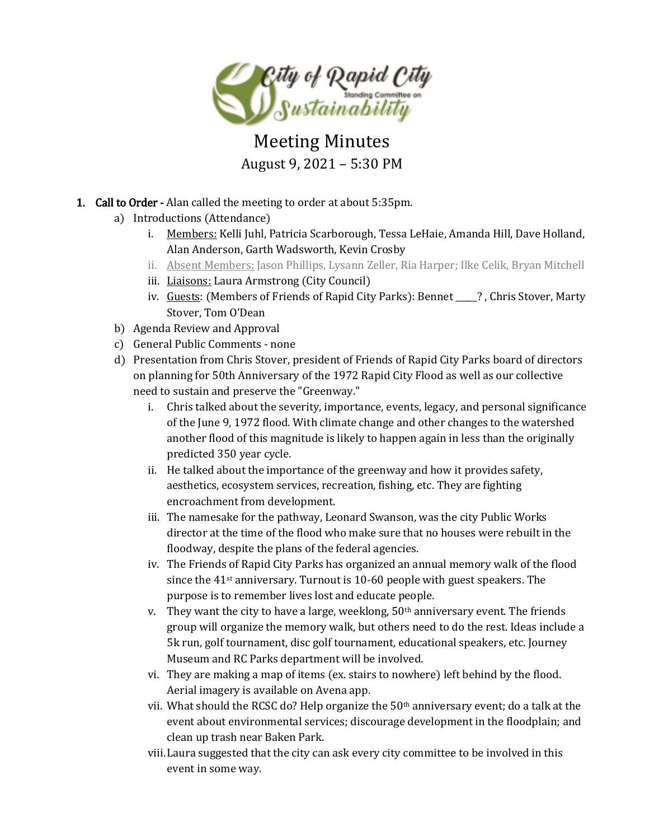

# Meeting Minutes August 9, 2021 – 5:30 PM

- 1. Call to Order Alan called the meeting to order at about 5:35pm.
	- a) Introductions (Attendance)
		- i. Members: Kelli Juhl, Patricia Scarborough, Tessa LeHaie, Amanda Hill, Dave Holland, Alan Anderson, Garth Wadsworth, Kevin Crosby
		- ii. Absent Members: Jason Phillips, Lysann Zeller, Ria Harper; Ilke Celik, Bryan Mitchell
		- iii. Liaisons: Laura Armstrong (City Council)
		- iv. Guests: (Members of Friends of Rapid City Parks): Bennet \_\_\_\_?, Chris Stover, Marty Stover, Tom O'Dean
	- b) Agenda Review and Approval
	- c) General Public Comments none
	- d) Presentation from Chris Stover, president of Friends of Rapid City Parks board of directors on planning for 50th Anniversary of the 1972 Rapid City Flood as well as our collective need to sustain and preserve the "Greenway."
		- i. Chris talked about the severity, importance, events, legacy, and personal significance of the June 9, 1972 flood. With climate change and other changes to the watershed another flood of this magnitude is likely to happen again in less than the originally predicted 350 year cycle.
		- ii. He talked about the importance of the greenway and how it provides safety, aesthetics, ecosystem services, recreation, fishing, etc. They are fighting encroachment from development.
		- iii. The namesake for the pathway, Leonard Swanson, was the city Public Works director at the time of the flood who make sure that no houses were rebuilt in the floodway, despite the plans of the federal agencies.
		- iv. The Friends of Rapid City Parks has organized an annual memory walk of the flood since the 41<sup>st</sup> anniversary. Turnout is 10-60 people with guest speakers. The purpose is to remember lives lost and educate people.
		- v. They want the city to have a large, weeklong,  $50<sup>th</sup>$  anniversary event. The friends group will organize the memory walk, but others need to do the rest. Ideas include a 5k run, golf tournament, disc golf tournament, educational speakers, etc. Journey Museum and RC Parks department will be involved.
		- vi. They are making a map of items (ex. stairs to nowhere) left behind by the flood. Aerial imagery is available on Avena app.
		- vii. What should the RCSC do? Help organize the 50th anniversary event; do a talk at the event about environmental services; discourage development in the floodplain; and clean up trash near Baken Park.
		- viii.Laura suggested that the city can ask every city committee to be involved in this event in some way.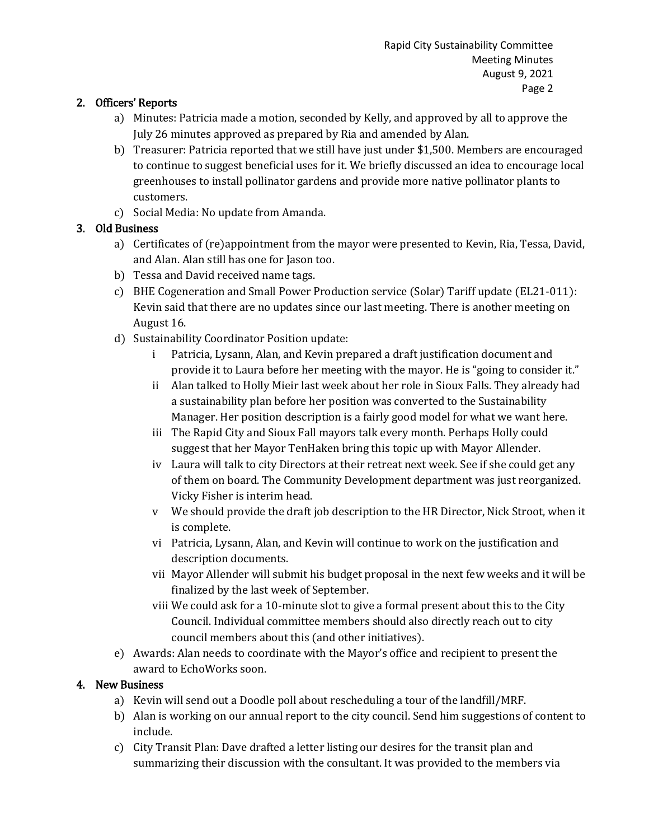### 2. Officers' Reports

- a) Minutes: Patricia made a motion, seconded by Kelly, and approved by all to approve the July 26 minutes approved as prepared by Ria and amended by Alan.
- b) Treasurer: Patricia reported that we still have just under \$1,500. Members are encouraged to continue to suggest beneficial uses for it. We briefly discussed an idea to encourage local greenhouses to install pollinator gardens and provide more native pollinator plants to customers.
- c) Social Media: No update from Amanda.

## 3. Old Business

- a) Certificates of (re)appointment from the mayor were presented to Kevin, Ria, Tessa, David, and Alan. Alan still has one for Jason too.
- b) Tessa and David received name tags.
- c) BHE Cogeneration and Small Power Production service (Solar) Tariff update (EL21-011): Kevin said that there are no updates since our last meeting. There is another meeting on August 16.
- d) Sustainability Coordinator Position update:
	- i Patricia, Lysann, Alan, and Kevin prepared a draft justification document and provide it to Laura before her meeting with the mayor. He is "going to consider it."
	- ii Alan talked to Holly Mieir last week about her role in Sioux Falls. They already had a sustainability plan before her position was converted to the Sustainability Manager. Her position description is a fairly good model for what we want here.
	- iii The Rapid City and Sioux Fall mayors talk every month. Perhaps Holly could suggest that her Mayor TenHaken bring this topic up with Mayor Allender.
	- iv Laura will talk to city Directors at their retreat next week. See if she could get any of them on board. The Community Development department was just reorganized. Vicky Fisher is interim head.
	- v We should provide the draft job description to the HR Director, Nick Stroot, when it is complete.
	- vi Patricia, Lysann, Alan, and Kevin will continue to work on the justification and description documents.
	- vii Mayor Allender will submit his budget proposal in the next few weeks and it will be finalized by the last week of September.
	- viii We could ask for a 10-minute slot to give a formal present about this to the City Council. Individual committee members should also directly reach out to city council members about this (and other initiatives).
- e) Awards: Alan needs to coordinate with the Mayor's office and recipient to present the award to EchoWorks soon.

#### 4. New Business

- a) Kevin will send out a Doodle poll about rescheduling a tour of the landfill/MRF.
- b) Alan is working on our annual report to the city council. Send him suggestions of content to include.
- c) City Transit Plan: Dave drafted a letter listing our desires for the transit plan and summarizing their discussion with the consultant. It was provided to the members via